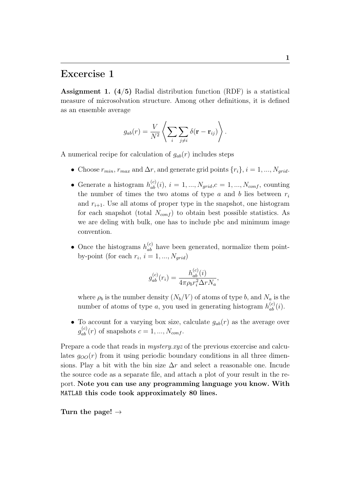## Excercise 1

**Assignment 1.**  $(4/5)$  Radial distribution function (RDF) is a statistical measure of microsolvation structure. Among other definitions, it is defined as an ensemble average

$$
g_{ab}(r) = \frac{V}{N^2} \left\langle \sum_i \sum_{j \neq i} \delta(\mathbf{r} - \mathbf{r}_{ij}) \right\rangle.
$$

A numerical recipe for calculation of  $g_{ab}(r)$  includes steps

- Choose  $r_{min}$ ,  $r_{max}$  and  $\Delta r$ , and generate grid points  $\{r_i\}$ ,  $i = 1, ..., N_{grid}$ .
- Generate a histogram  $h_{ab}^{(c)}(i), i = 1, ..., N_{grid}, c = 1, ..., N_{conf},$  counting the number of times the two atoms of type a and b lies between  $r_i$ and  $r_{i+1}$ . Use all atoms of proper type in the snapshot, one histogram for each snapshot (total  $N_{conf}$ ) to obtain best possible statistics. As we are deling with bulk, one has to include pbc and minimum image convention.
- Once the histograms  $h_{ab}^{(c)}$  have been generated, normalize them pointby-point (for each  $r_i$ ,  $i = 1, ..., N_{grid}$ )

$$
g_{ab}^{(c)}(r_i) = \frac{h_{ab}^{(c)}(i)}{4\pi \rho_b r_i^2 \Delta r N_a},
$$

where  $\rho_b$  is the number density  $(N_b/V)$  of atoms of type b, and  $N_a$  is the number of atoms of type a, you used in generating histogram  $h_{ab}^{(c)}(i)$ .

• To account for a varying box size, calculate  $g_{ab}(r)$  as the average over  $g_{ab}^{(c)}(r)$  of snapshots  $c = 1, ..., N_{conf}$ .

Prepare a code that reads in *mystery.xyz* of the previous excercise and calculates  $g_{OO}(r)$  from it using periodic boundary conditions in all three dimensions. Play a bit with the bin size  $\Delta r$  and select a reasonable one. Incude the source code as a separate file, and attach a plot of your result in the report. Note you can use any programming language you know. With MATLAB this code took approximately 80 lines.

Turn the page!  $\rightarrow$